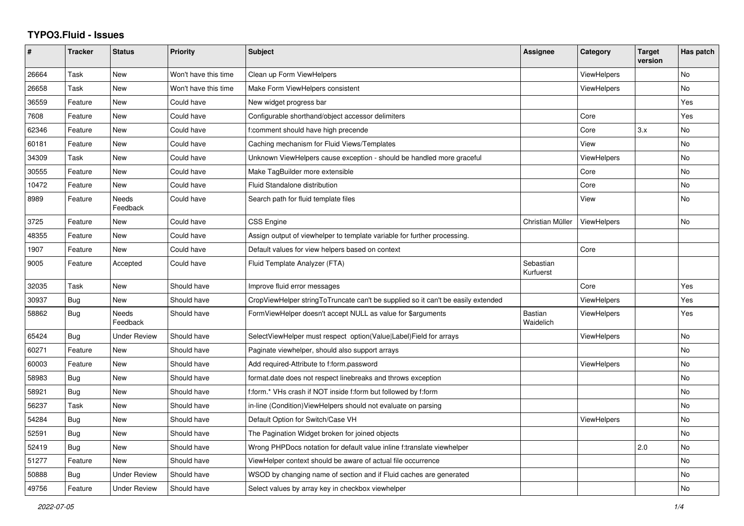## **TYPO3.Fluid - Issues**

| #     | <b>Tracker</b> | <b>Status</b>            | <b>Priority</b>      | <b>Subject</b>                                                                   | Assignee                    | Category           | <b>Target</b><br>version | Has patch |
|-------|----------------|--------------------------|----------------------|----------------------------------------------------------------------------------|-----------------------------|--------------------|--------------------------|-----------|
| 26664 | Task           | New                      | Won't have this time | Clean up Form ViewHelpers                                                        |                             | <b>ViewHelpers</b> |                          | No        |
| 26658 | Task           | New                      | Won't have this time | Make Form ViewHelpers consistent                                                 |                             | <b>ViewHelpers</b> |                          | No        |
| 36559 | Feature        | New                      | Could have           | New widget progress bar                                                          |                             |                    |                          | Yes       |
| 7608  | Feature        | <b>New</b>               | Could have           | Configurable shorthand/object accessor delimiters                                |                             | Core               |                          | Yes       |
| 62346 | Feature        | New                      | Could have           | f:comment should have high precende                                              |                             | Core               | 3.x                      | <b>No</b> |
| 60181 | Feature        | <b>New</b>               | Could have           | Caching mechanism for Fluid Views/Templates                                      |                             | View               |                          | <b>No</b> |
| 34309 | Task           | <b>New</b>               | Could have           | Unknown ViewHelpers cause exception - should be handled more graceful            |                             | <b>ViewHelpers</b> |                          | <b>No</b> |
| 30555 | Feature        | New                      | Could have           | Make TagBuilder more extensible                                                  |                             | Core               |                          | <b>No</b> |
| 10472 | Feature        | New                      | Could have           | <b>Fluid Standalone distribution</b>                                             |                             | Core               |                          | No        |
| 8989  | Feature        | Needs<br>Feedback        | Could have           | Search path for fluid template files                                             |                             | View               |                          | No        |
| 3725  | Feature        | New                      | Could have           | CSS Engine                                                                       | Christian Müller            | <b>ViewHelpers</b> |                          | No        |
| 48355 | Feature        | New                      | Could have           | Assign output of viewhelper to template variable for further processing.         |                             |                    |                          |           |
| 1907  | Feature        | New                      | Could have           | Default values for view helpers based on context                                 |                             | Core               |                          |           |
| 9005  | Feature        | Accepted                 | Could have           | Fluid Template Analyzer (FTA)                                                    | Sebastian<br>Kurfuerst      |                    |                          |           |
| 32035 | Task           | New                      | Should have          | Improve fluid error messages                                                     |                             | Core               |                          | Yes       |
| 30937 | <b>Bug</b>     | <b>New</b>               | Should have          | CropViewHelper stringToTruncate can't be supplied so it can't be easily extended |                             | <b>ViewHelpers</b> |                          | Yes       |
| 58862 | Bug            | <b>Needs</b><br>Feedback | Should have          | FormViewHelper doesn't accept NULL as value for \$arguments                      | <b>Bastian</b><br>Waidelich | <b>ViewHelpers</b> |                          | Yes       |
| 65424 | Bug            | <b>Under Review</b>      | Should have          | SelectViewHelper must respect option(Value Label)Field for arrays                |                             | ViewHelpers        |                          | <b>No</b> |
| 60271 | Feature        | New                      | Should have          | Paginate viewhelper, should also support arrays                                  |                             |                    |                          | No        |
| 60003 | Feature        | New                      | Should have          | Add required-Attribute to f:form.password                                        |                             | <b>ViewHelpers</b> |                          | No        |
| 58983 | Bug            | New                      | Should have          | format.date does not respect linebreaks and throws exception                     |                             |                    |                          | No        |
| 58921 | Bug            | New                      | Should have          | f:form.* VHs crash if NOT inside f:form but followed by f:form                   |                             |                    |                          | <b>No</b> |
| 56237 | Task           | New                      | Should have          | in-line (Condition) View Helpers should not evaluate on parsing                  |                             |                    |                          | No        |
| 54284 | Bug            | New                      | Should have          | Default Option for Switch/Case VH                                                |                             | ViewHelpers        |                          | No        |
| 52591 | Bug            | New                      | Should have          | The Pagination Widget broken for joined objects                                  |                             |                    |                          | No        |
| 52419 | Bug            | <b>New</b>               | Should have          | Wrong PHPDocs notation for default value inline f:translate viewhelper           |                             |                    | 2.0                      | <b>No</b> |
| 51277 | Feature        | New                      | Should have          | ViewHelper context should be aware of actual file occurrence                     |                             |                    |                          | <b>No</b> |
| 50888 | Bug            | <b>Under Review</b>      | Should have          | WSOD by changing name of section and if Fluid caches are generated               |                             |                    |                          | No        |
| 49756 | Feature        | <b>Under Review</b>      | Should have          | Select values by array key in checkbox viewhelper                                |                             |                    |                          | No        |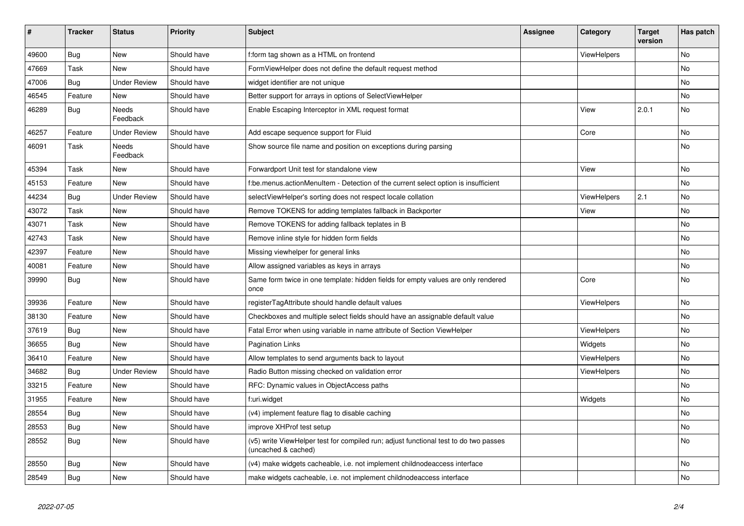| $\vert$ # | <b>Tracker</b> | <b>Status</b>            | <b>Priority</b> | <b>Subject</b>                                                                                              | <b>Assignee</b> | Category           | <b>Target</b><br>version | Has patch |
|-----------|----------------|--------------------------|-----------------|-------------------------------------------------------------------------------------------------------------|-----------------|--------------------|--------------------------|-----------|
| 49600     | <b>Bug</b>     | <b>New</b>               | Should have     | f:form tag shown as a HTML on frontend                                                                      |                 | <b>ViewHelpers</b> |                          | <b>No</b> |
| 47669     | Task           | New                      | Should have     | FormViewHelper does not define the default request method                                                   |                 |                    |                          | <b>No</b> |
| 47006     | <b>Bug</b>     | <b>Under Review</b>      | Should have     | widget identifier are not unique                                                                            |                 |                    |                          | No        |
| 46545     | Feature        | New                      | Should have     | Better support for arrays in options of SelectViewHelper                                                    |                 |                    |                          | No        |
| 46289     | Bug            | <b>Needs</b><br>Feedback | Should have     | Enable Escaping Interceptor in XML request format                                                           |                 | View               | 2.0.1                    | <b>No</b> |
| 46257     | Feature        | <b>Under Review</b>      | Should have     | Add escape sequence support for Fluid                                                                       |                 | Core               |                          | No        |
| 46091     | Task           | Needs<br>Feedback        | Should have     | Show source file name and position on exceptions during parsing                                             |                 |                    |                          | <b>No</b> |
| 45394     | Task           | New                      | Should have     | Forwardport Unit test for standalone view                                                                   |                 | View               |                          | No        |
| 45153     | Feature        | <b>New</b>               | Should have     | f:be.menus.actionMenuItem - Detection of the current select option is insufficient                          |                 |                    |                          | <b>No</b> |
| 44234     | Bug            | <b>Under Review</b>      | Should have     | selectViewHelper's sorting does not respect locale collation                                                |                 | <b>ViewHelpers</b> | 2.1                      | <b>No</b> |
| 43072     | Task           | New                      | Should have     | Remove TOKENS for adding templates fallback in Backporter                                                   |                 | View               |                          | No        |
| 43071     | Task           | New                      | Should have     | Remove TOKENS for adding fallback teplates in B                                                             |                 |                    |                          | No        |
| 42743     | Task           | <b>New</b>               | Should have     | Remove inline style for hidden form fields                                                                  |                 |                    |                          | No        |
| 42397     | Feature        | New                      | Should have     | Missing viewhelper for general links                                                                        |                 |                    |                          | No        |
| 40081     | Feature        | New                      | Should have     | Allow assigned variables as keys in arrays                                                                  |                 |                    |                          | No        |
| 39990     | Bug            | <b>New</b>               | Should have     | Same form twice in one template: hidden fields for empty values are only rendered<br>once                   |                 | Core               |                          | <b>No</b> |
| 39936     | Feature        | New                      | Should have     | registerTagAttribute should handle default values                                                           |                 | ViewHelpers        |                          | No        |
| 38130     | Feature        | <b>New</b>               | Should have     | Checkboxes and multiple select fields should have an assignable default value                               |                 |                    |                          | <b>No</b> |
| 37619     | Bug            | <b>New</b>               | Should have     | Fatal Error when using variable in name attribute of Section ViewHelper                                     |                 | <b>ViewHelpers</b> |                          | No        |
| 36655     | Bug            | <b>New</b>               | Should have     | Pagination Links                                                                                            |                 | Widgets            |                          | <b>No</b> |
| 36410     | Feature        | <b>New</b>               | Should have     | Allow templates to send arguments back to layout                                                            |                 | <b>ViewHelpers</b> |                          | No        |
| 34682     | <b>Bug</b>     | <b>Under Review</b>      | Should have     | Radio Button missing checked on validation error                                                            |                 | <b>ViewHelpers</b> |                          | <b>No</b> |
| 33215     | Feature        | <b>New</b>               | Should have     | RFC: Dynamic values in ObjectAccess paths                                                                   |                 |                    |                          | No        |
| 31955     | Feature        | <b>New</b>               | Should have     | f:uri.widget                                                                                                |                 | Widgets            |                          | No        |
| 28554     | Bug            | <b>New</b>               | Should have     | (v4) implement feature flag to disable caching                                                              |                 |                    |                          | <b>No</b> |
| 28553     | <b>Bug</b>     | New                      | Should have     | improve XHProf test setup                                                                                   |                 |                    |                          | <b>No</b> |
| 28552     | Bug            | <b>New</b>               | Should have     | (v5) write ViewHelper test for compiled run; adjust functional test to do two passes<br>(uncached & cached) |                 |                    |                          | <b>No</b> |
| 28550     | <b>Bug</b>     | <b>New</b>               | Should have     | (v4) make widgets cacheable, i.e. not implement childnodeaccess interface                                   |                 |                    |                          | <b>No</b> |
| 28549     | Bug            | <b>New</b>               | Should have     | make widgets cacheable, i.e. not implement childnodeaccess interface                                        |                 |                    |                          | <b>No</b> |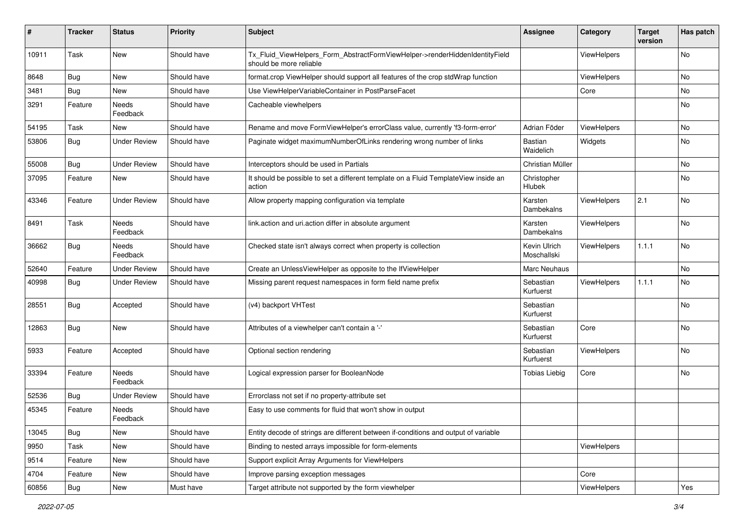| ∦     | <b>Tracker</b> | <b>Status</b>            | <b>Priority</b> | <b>Subject</b>                                                                                         | <b>Assignee</b>             | Category    | <b>Target</b><br>version | Has patch |
|-------|----------------|--------------------------|-----------------|--------------------------------------------------------------------------------------------------------|-----------------------------|-------------|--------------------------|-----------|
| 10911 | Task           | New                      | Should have     | Tx_Fluid_ViewHelpers_Form_AbstractFormViewHelper->renderHiddenIdentityField<br>should be more reliable |                             | ViewHelpers |                          | No        |
| 8648  | Bug            | New                      | Should have     | format.crop ViewHelper should support all features of the crop stdWrap function                        |                             | ViewHelpers |                          | No        |
| 3481  | <b>Bug</b>     | New                      | Should have     | Use ViewHelperVariableContainer in PostParseFacet                                                      |                             | Core        |                          | <b>No</b> |
| 3291  | Feature        | Needs<br>Feedback        | Should have     | Cacheable viewhelpers                                                                                  |                             |             |                          | No        |
| 54195 | Task           | New                      | Should have     | Rename and move FormViewHelper's errorClass value, currently 'f3-form-error'                           | Adrian Föder                | ViewHelpers |                          | No        |
| 53806 | Bug            | <b>Under Review</b>      | Should have     | Paginate widget maximumNumberOfLinks rendering wrong number of links                                   | Bastian<br>Waidelich        | Widgets     |                          | No        |
| 55008 | Bug            | <b>Under Review</b>      | Should have     | Interceptors should be used in Partials                                                                | Christian Müller            |             |                          | No        |
| 37095 | Feature        | New                      | Should have     | It should be possible to set a different template on a Fluid TemplateView inside an<br>action          | Christopher<br>Hlubek       |             |                          | No        |
| 43346 | Feature        | <b>Under Review</b>      | Should have     | Allow property mapping configuration via template                                                      | Karsten<br>Dambekalns       | ViewHelpers | 2.1                      | <b>No</b> |
| 8491  | Task           | <b>Needs</b><br>Feedback | Should have     | link.action and uri.action differ in absolute argument                                                 | Karsten<br>Dambekalns       | ViewHelpers |                          | <b>No</b> |
| 36662 | Bug            | <b>Needs</b><br>Feedback | Should have     | Checked state isn't always correct when property is collection                                         | Kevin Ulrich<br>Moschallski | ViewHelpers | 1.1.1                    | No        |
| 52640 | Feature        | <b>Under Review</b>      | Should have     | Create an UnlessViewHelper as opposite to the IfViewHelper                                             | Marc Neuhaus                |             |                          | No        |
| 40998 | Bug            | <b>Under Review</b>      | Should have     | Missing parent request namespaces in form field name prefix                                            | Sebastian<br>Kurfuerst      | ViewHelpers | 1.1.1                    | No        |
| 28551 | Bug            | Accepted                 | Should have     | (v4) backport VHTest                                                                                   | Sebastian<br>Kurfuerst      |             |                          | No        |
| 12863 | <b>Bug</b>     | <b>New</b>               | Should have     | Attributes of a viewhelper can't contain a '-'                                                         | Sebastian<br>Kurfuerst      | Core        |                          | No        |
| 5933  | Feature        | Accepted                 | Should have     | Optional section rendering                                                                             | Sebastian<br>Kurfuerst      | ViewHelpers |                          | <b>No</b> |
| 33394 | Feature        | <b>Needs</b><br>Feedback | Should have     | Logical expression parser for BooleanNode                                                              | <b>Tobias Liebig</b>        | Core        |                          | No        |
| 52536 | Bug            | <b>Under Review</b>      | Should have     | Errorclass not set if no property-attribute set                                                        |                             |             |                          |           |
| 45345 | Feature        | <b>Needs</b><br>Feedback | Should have     | Easy to use comments for fluid that won't show in output                                               |                             |             |                          |           |
| 13045 | <b>Bug</b>     | New                      | Should have     | Entity decode of strings are different between if-conditions and output of variable                    |                             |             |                          |           |
| 9950  | Task           | New                      | Should have     | Binding to nested arrays impossible for form-elements                                                  |                             | ViewHelpers |                          |           |
| 9514  | Feature        | New                      | Should have     | Support explicit Array Arguments for ViewHelpers                                                       |                             |             |                          |           |
| 4704  | Feature        | New                      | Should have     | Improve parsing exception messages                                                                     |                             | Core        |                          |           |
| 60856 | Bug            | New                      | Must have       | Target attribute not supported by the form viewhelper                                                  |                             | ViewHelpers |                          | Yes       |